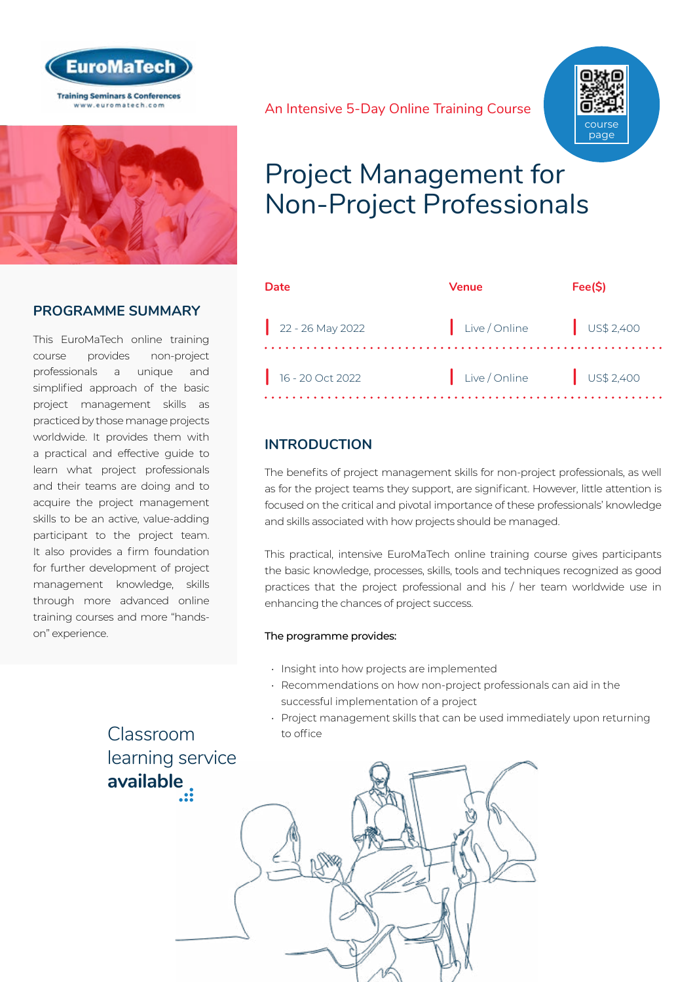



# **PROGRAMME SUMMARY**

This EuroMaTech online training course provides non-project professionals a unique and simplified approach of the basic project management skills as practiced by those manage projects worldwide. It provides them with a practical and effective guide to learn what project professionals and their teams are doing and to acquire the project management skills to be an active, value-adding participant to the project team. It also provides a firm foundation for further development of project management knowledge, skills through more advanced online training courses and more "handson" experience.

An Intensive 5-Day Online Training Course



# Project Management for Non-Project Professionals

| Date               | Venue         | Fee(S)               |
|--------------------|---------------|----------------------|
| $22 - 26$ May 2022 | Live / Online | $\bigcup$ US\$ 2,400 |
| $16 - 20$ Oct 2022 | Live / Online | $\bigcup$ US\$ 2,400 |

# **INTRODUCTION**

The benefits of project management skills for non-project professionals, as well as for the project teams they support, are significant. However, little attention is focused on the critical and pivotal importance of these professionals' knowledge and skills associated with how projects should be managed.

This practical, intensive EuroMaTech online training course gives participants the basic knowledge, processes, skills, tools and techniques recognized as good practices that the project professional and his / her team worldwide use in enhancing the chances of project success.

### The programme provides:

- Insight into how projects are implemented
- Recommendations on how non-project professionals can aid in the successful implementation of a project
- Project management skills that can be used immediately upon returning to office

Classroom [learning service](https://www.euromatech.com/seminars/project-management-skills-for-non-project-professionals/)  **available**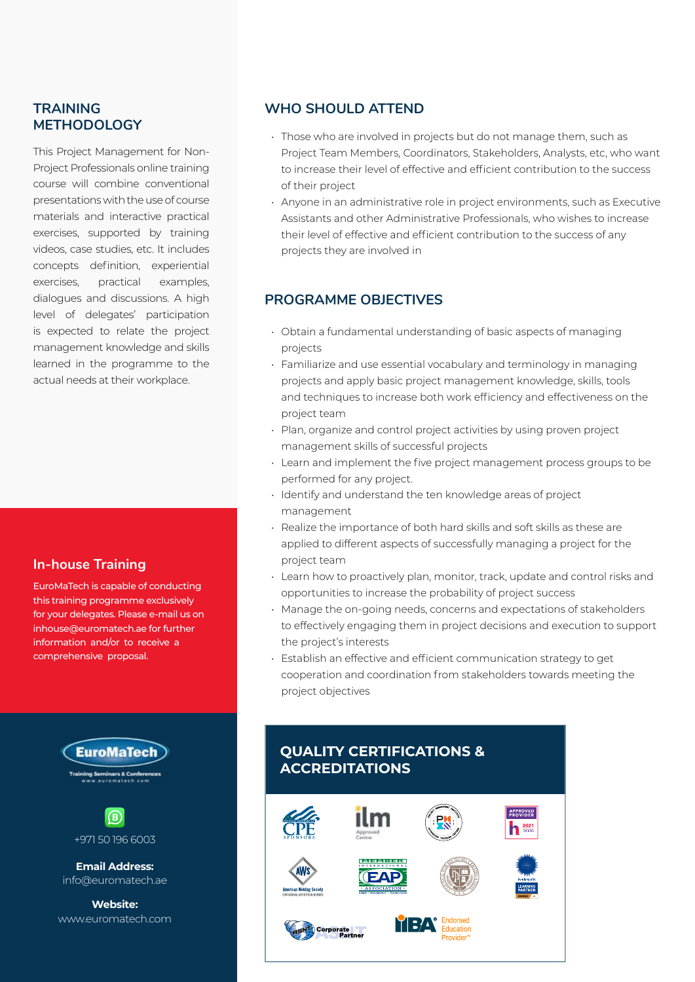# **TRAINING METHODOLOGY**

This Project Management for Non-Project Professionals online training course will combine conventional presentations with the use of course materials and interactive practical exercises, supported by training videos, case studies, etc. It includes concepts definition, experiential exercises, practical examples, dialogues and discussions. A high level of delegates' participation is expected to relate the project management knowledge and skills learned in the programme to the actual needs at their workplace.

### **In-house Training**

EuroMaTech is capable of conducting this training programme exclusively for your delegates. Please e-mail us on inhouse@euromatech.ae for further information and/or to receive a comprehensive proposal.





**Email Address:** info@euromatech.ae

**Website:** www.euromatech.com

## **WHO SHOULD ATTEND**

- Those who are involved in projects but do not manage them, such as Project Team Members, Coordinators, Stakeholders, Analysts, etc, who want to increase their level of effective and efficient contribution to the success of their project
- Anyone in an administrative role in project environments, such as Executive Assistants and other Administrative Professionals, who wishes to increase their level of effective and efficient contribution to the success of any projects they are involved in

# **PROGRAMME OBJECTIVES**

- Obtain a fundamental understanding of basic aspects of managing projects
- Familiarize and use essential vocabulary and terminology in managing projects and apply basic project management knowledge, skills, tools and techniques to increase both work efficiency and effectiveness on the project team
- Plan, organize and control project activities by using proven project management skills of successful projects
- Learn and implement the five project management process groups to be performed for any project.
- Identify and understand the ten knowledge areas of project management
- Realize the importance of both hard skills and soft skills as these are applied to different aspects of successfully managing a project for the project team
- Learn how to proactively plan, monitor, track, update and control risks and opportunities to increase the probability of project success
- Manage the on-going needs, concerns and expectations of stakeholders to effectively engaging them in project decisions and execution to support the project's interests
- Establish an effective and efficient communication strategy to get cooperation and coordination from stakeholders towards meeting the project objectives

# **QUALITY CERTIFICATIONS & ACCREDITATIONS**

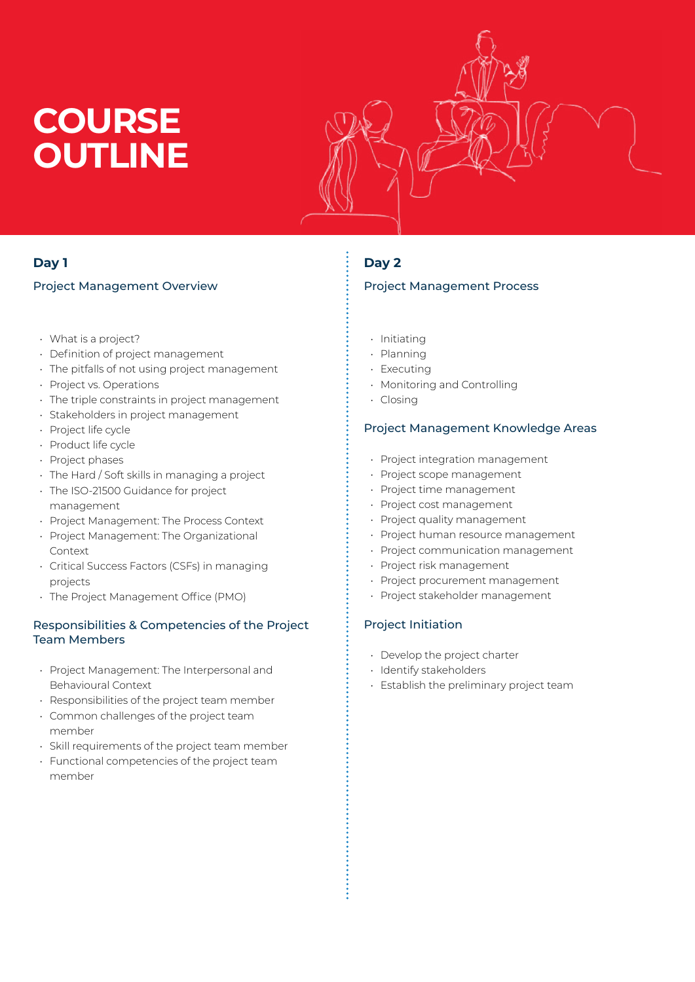# **COURSE OUTLINE**



### Project Management Overview

- What is a project?
- Definition of project management
- The pitfalls of not using project management
- Project vs. Operations
- The triple constraints in project management
- Stakeholders in project management
- Project life cycle
- Product life cycle
- Project phases
- The Hard / Soft skills in managing a project
- The ISO-21500 Guidance for project management
- Project Management: The Process Context
- Project Management: The Organizational Context
- Critical Success Factors (CSFs) in managing projects
- The Project Management Office (PMO)

### Responsibilities & Competencies of the Project Team Members

- Project Management: The Interpersonal and Behavioural Context
- Responsibilities of the project team member
- Common challenges of the project team member
- Skill requirements of the project team member
- Functional competencies of the project team member

# **Day 2**

### Project Management Process

- Initiating
- Planning
- Executing
- Monitoring and Controlling
- Closing

### Project Management Knowledge Areas

- Project integration management
- Project scope management
- Project time management
- Project cost management
- Project quality management
- Project human resource management
- Project communication management
- Project risk management
- Project procurement management
- Project stakeholder management

# Project Initiation

- Develop the project charter
- Identify stakeholders
- Establish the preliminary project team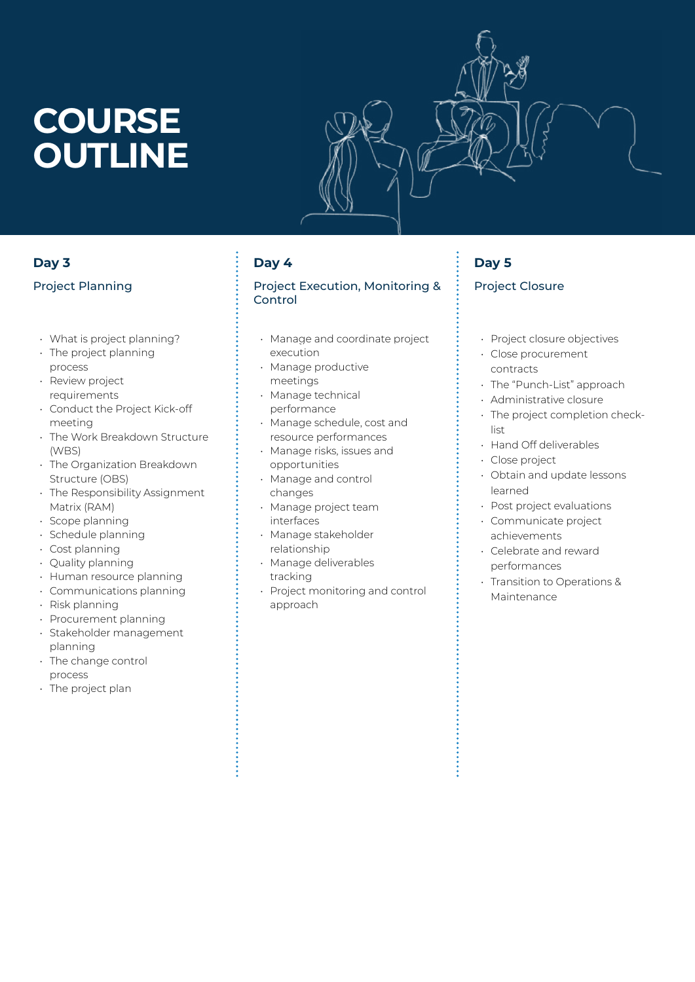# **COURSE OUTLINE**

# **Day 3**

### Project Planning

- What is project planning?
- The project planning process
- Review project requirements
- Conduct the Project Kick-off meeting
- The Work Breakdown Structure (WBS)
- The Organization Breakdown Structure (OBS)
- The Responsibility Assignment Matrix (RAM)
- Scope planning
- Schedule planning
- Cost planning
- Quality planning
- Human resource planning
- Communications planning
- Risk planning
- Procurement planning
- Stakeholder management planning
- The change control process
- The project plan

# **Day 4**

### Project Execution, Monitoring & Control

- Manage and coordinate project execution
- Manage productive meetings
- Manage technical performance
- Manage schedule, cost and resource performances
- Manage risks, issues and opportunities
- Manage and control changes
- Manage project team interfaces
- Manage stakeholder relationship
- Manage deliverables tracking
- Project monitoring and control approach

# **Day 5**

## Project Closure

- Project closure objectives
- Close procurement contracts
- The "Punch-List" approach
- Administrative closure
- The project completion checklist
- Hand Off deliverables
- Close project
- Obtain and update lessons learned
- Post project evaluations
- Communicate project achievements
- Celebrate and reward performances
- Transition to Operations & Maintenance